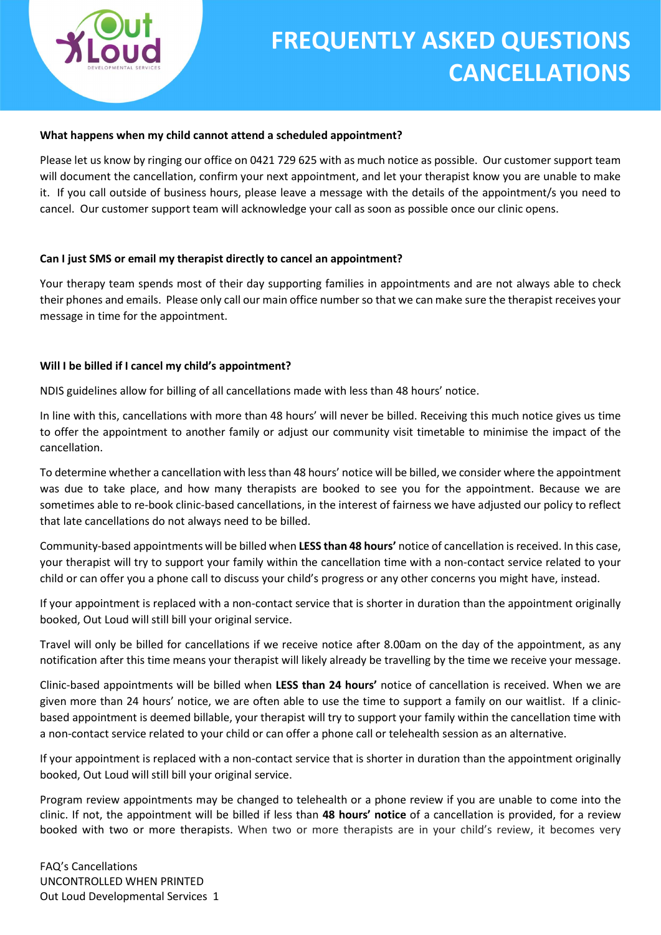

#### What happens when my child cannot attend a scheduled appointment?

Please let us know by ringing our office on 0421 729 625 with as much notice as possible. Our customer support team will document the cancellation, confirm your next appointment, and let your therapist know you are unable to make it. If you call outside of business hours, please leave a message with the details of the appointment/s you need to cancel. Our customer support team will acknowledge your call as soon as possible once our clinic opens.

## Can I just SMS or email my therapist directly to cancel an appointment?

Your therapy team spends most of their day supporting families in appointments and are not always able to check their phones and emails. Please only call our main office number so that we can make sure the therapist receives your message in time for the appointment.

#### Will I be billed if I cancel my child's appointment?

NDIS guidelines allow for billing of all cancellations made with less than 48 hours' notice.

In line with this, cancellations with more than 48 hours' will never be billed. Receiving this much notice gives us time to offer the appointment to another family or adjust our community visit timetable to minimise the impact of the cancellation.

To determine whether a cancellation with less than 48 hours' notice will be billed, we consider where the appointment was due to take place, and how many therapists are booked to see you for the appointment. Because we are sometimes able to re-book clinic-based cancellations, in the interest of fairness we have adjusted our policy to reflect that late cancellations do not always need to be billed.

Community-based appointments will be billed when LESS than 48 hours' notice of cancellation is received. In this case, your therapist will try to support your family within the cancellation time with a non-contact service related to your child or can offer you a phone call to discuss your child's progress or any other concerns you might have, instead.

If your appointment is replaced with a non-contact service that is shorter in duration than the appointment originally booked, Out Loud will still bill your original service.

Travel will only be billed for cancellations if we receive notice after 8.00am on the day of the appointment, as any notification after this time means your therapist will likely already be travelling by the time we receive your message.

Clinic-based appointments will be billed when LESS than 24 hours' notice of cancellation is received. When we are given more than 24 hours' notice, we are often able to use the time to support a family on our waitlist. If a clinicbased appointment is deemed billable, your therapist will try to support your family within the cancellation time with a non-contact service related to your child or can offer a phone call or telehealth session as an alternative.

If your appointment is replaced with a non-contact service that is shorter in duration than the appointment originally booked, Out Loud will still bill your original service.

Program review appointments may be changed to telehealth or a phone review if you are unable to come into the clinic. If not, the appointment will be billed if less than 48 hours' notice of a cancellation is provided, for a review booked with two or more therapists. When two or more therapists are in your child's review, it becomes very

FAQ's Cancellations UNCONTROLLED WHEN PRINTED Out Loud Developmental Services 1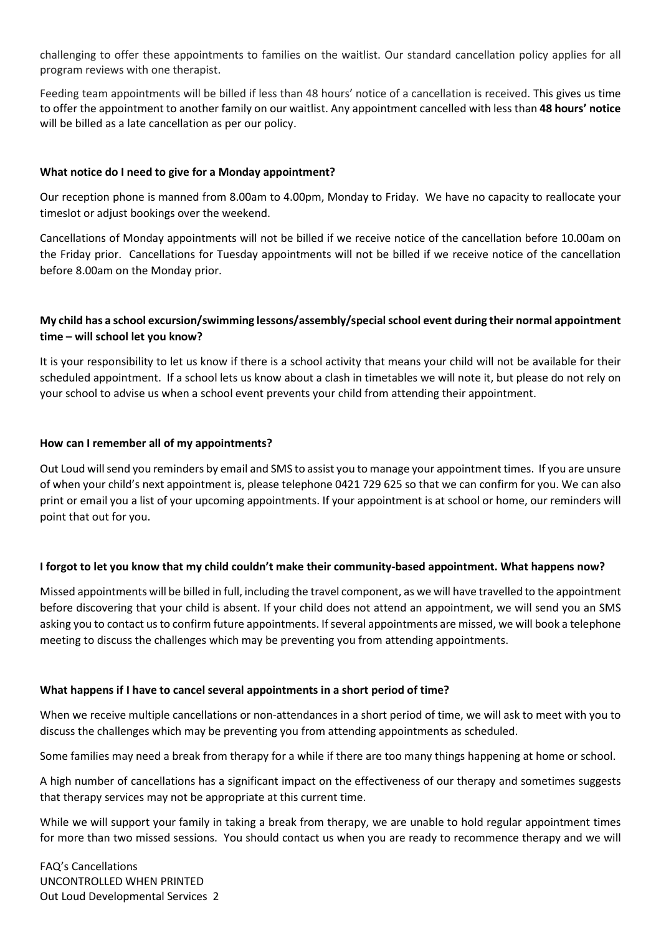challenging to offer these appointments to families on the waitlist. Our standard cancellation policy applies for all program reviews with one therapist.

Feeding team appointments will be billed if less than 48 hours' notice of a cancellation is received. This gives us time to offer the appointment to another family on our waitlist. Any appointment cancelled with less than 48 hours' notice will be billed as a late cancellation as per our policy.

# What notice do I need to give for a Monday appointment?

Our reception phone is manned from 8.00am to 4.00pm, Monday to Friday. We have no capacity to reallocate your timeslot or adjust bookings over the weekend.

Cancellations of Monday appointments will not be billed if we receive notice of the cancellation before 10.00am on the Friday prior. Cancellations for Tuesday appointments will not be billed if we receive notice of the cancellation before 8.00am on the Monday prior.

# My child has a school excursion/swimming lessons/assembly/special school event during their normal appointment time – will school let you know?

It is your responsibility to let us know if there is a school activity that means your child will not be available for their scheduled appointment. If a school lets us know about a clash in timetables we will note it, but please do not rely on your school to advise us when a school event prevents your child from attending their appointment.

## How can I remember all of my appointments?

Out Loud will send you reminders by email and SMS to assist you to manage your appointment times. If you are unsure of when your child's next appointment is, please telephone 0421 729 625 so that we can confirm for you. We can also print or email you a list of your upcoming appointments. If your appointment is at school or home, our reminders will point that out for you.

## I forgot to let you know that my child couldn't make their community-based appointment. What happens now?

Missed appointments will be billed in full, including the travel component, as we will have travelled to the appointment before discovering that your child is absent. If your child does not attend an appointment, we will send you an SMS asking you to contact us to confirm future appointments. If several appointments are missed, we will book a telephone meeting to discuss the challenges which may be preventing you from attending appointments.

# What happens if I have to cancel several appointments in a short period of time?

When we receive multiple cancellations or non-attendances in a short period of time, we will ask to meet with you to discuss the challenges which may be preventing you from attending appointments as scheduled.

Some families may need a break from therapy for a while if there are too many things happening at home or school.

A high number of cancellations has a significant impact on the effectiveness of our therapy and sometimes suggests that therapy services may not be appropriate at this current time.

While we will support your family in taking a break from therapy, we are unable to hold regular appointment times for more than two missed sessions. You should contact us when you are ready to recommence therapy and we will

FAQ's Cancellations UNCONTROLLED WHEN PRINTED Out Loud Developmental Services 2